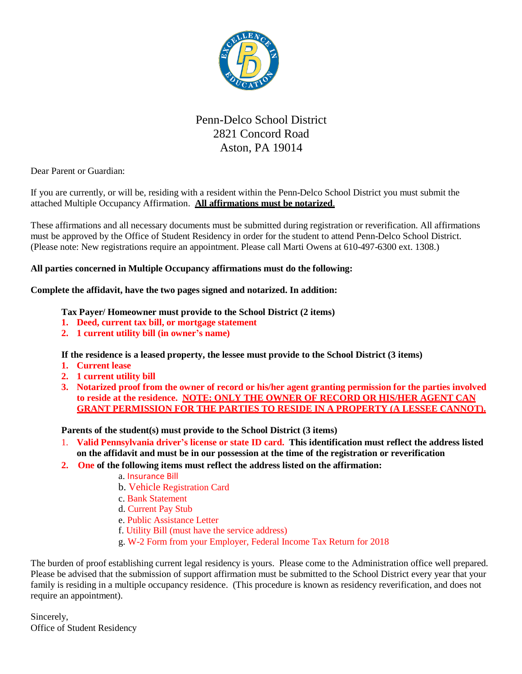

# Penn-Delco School District 2821 Concord Road Aston, PA 19014

Dear Parent or Guardian:

If you are currently, or will be, residing with a resident within the Penn-Delco School District you must submit the attached Multiple Occupancy Affirmation. **All affirmations must be notarized**.

These affirmations and all necessary documents must be submitted during registration or reverification. All affirmations must be approved by the Office of Student Residency in order for the student to attend Penn-Delco School District. (Please note: New registrations require an appointment. Please call Marti Owens at 610-497-6300 ext. 1308.)

#### **All parties concerned in Multiple Occupancy affirmations must do the following:**

#### **Complete the affidavit, have the two pages signed and notarized. In addition:**

#### **Tax Payer/ Homeowner must provide to the School District (2 items)**

- **1. Deed, current tax bill, or mortgage statement**
- **2. 1 current utility bill (in owner's name)**

**If the residence is a leased property, the lessee must provide to the School District (3 items)**

- **1. Current lease**
- **2. 1 current utility bill**
- **3. Notarized proof from the owner of record or his/her agent granting permission for the parties involved to reside at the residence. NOTE: ONLY THE OWNER OF RECORD OR HIS/HER AGENT CAN GRANT PERMISSION FOR THE PARTIES TO RESIDE IN A PROPERTY (A LESSEE CANNOT).**

**Parents of the student(s) must provide to the School District (3 items)**

- 1. **Valid Pennsylvania driver's license or state ID card. This identification must reflect the address listed on the affidavit and must be in our possession at the time of the registration or reverification**
- **2. One of the following items must reflect the address listed on the affirmation:**
	- a. Insurance Bill
	- b. Vehicle Registration Card
	- c. Bank Statement
	- d. Current Pay Stub
	- e. Public Assistance Letter
	- f. Utility Bill (must have the service address)
	- g. W-2 Form from your Employer, Federal Income Tax Return for 2018

The burden of proof establishing current legal residency is yours. Please come to the Administration office well prepared. Please be advised that the submission of support affirmation must be submitted to the School District every year that your family is residing in a multiple occupancy residence. (This procedure is known as residency reverification, and does not require an appointment).

Sincerely, Office of Student Residency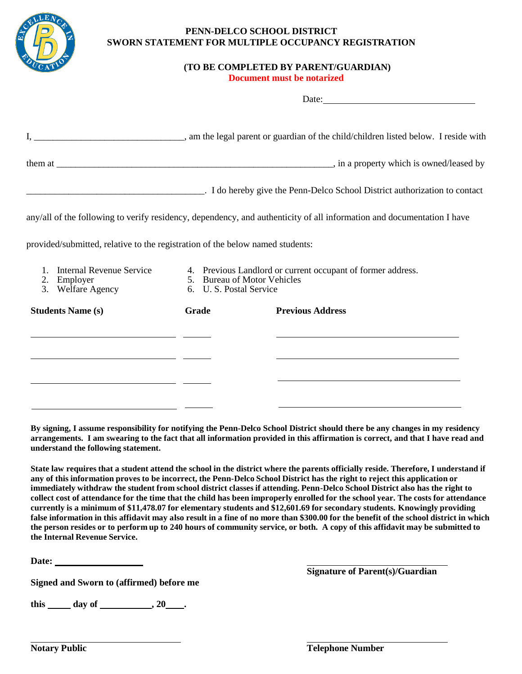

#### **PENN-DELCO SCHOOL DISTRICT SWORN STATEMENT FOR MULTIPLE OCCUPANCY REGISTRATION**

## **(TO BE COMPLETED BY PARENT/GUARDIAN)**

 $D_{\alpha\uparrow\alpha}$ 

 **Document must be notarized**

|                                                                                                                                                                                        |                                                                                                                      | $\mathbf{Date}$ .                                                                                                      |
|----------------------------------------------------------------------------------------------------------------------------------------------------------------------------------------|----------------------------------------------------------------------------------------------------------------------|------------------------------------------------------------------------------------------------------------------------|
|                                                                                                                                                                                        |                                                                                                                      |                                                                                                                        |
|                                                                                                                                                                                        |                                                                                                                      |                                                                                                                        |
|                                                                                                                                                                                        |                                                                                                                      | . I do hereby give the Penn-Delco School District authorization to contact                                             |
|                                                                                                                                                                                        |                                                                                                                      | any/all of the following to verify residency, dependency, and authenticity of all information and documentation I have |
| provided/submitted, relative to the registration of the below named students:                                                                                                          |                                                                                                                      |                                                                                                                        |
| <b>Internal Revenue Service</b><br>$1_{\cdot}$<br>2. Employer<br>3. Welfare Agency                                                                                                     | 4. Previous Landlord or current occupant of former address.<br>5. Bureau of Motor Vehicles<br>6. U.S. Postal Service |                                                                                                                        |
| <b>Students Name (s)</b>                                                                                                                                                               | Grade                                                                                                                | <b>Previous Address</b>                                                                                                |
| <u> 1989 - Johann Stoff, deutscher Stoff, der Stoff, der Stoff, der Stoff, der Stoff, der Stoff, der Stoff, der S</u>                                                                  |                                                                                                                      |                                                                                                                        |
| <u> 1989 - Jan Samuel Barbara, martin da shekarar 1980 - André Samuel Barbara, mashrida a shekarar 1980 - André S</u><br><u> 1989 - Johann Stein, mars an deutscher Stein († 1958)</u> |                                                                                                                      | the contract of the contract of the contract of the contract of the contract of the contract of the                    |
|                                                                                                                                                                                        |                                                                                                                      |                                                                                                                        |

**By signing, I assume responsibility for notifying the Penn-Delco School District should there be any changes in my residency arrangements. I am swearing to the fact that all information provided in this affirmation is correct, and that I have read and understand the following statement.**

State law requires that a student attend the school in the district where the parents officially reside. Therefore, I understand if any of this information proves to be incorrect, the Penn-Delco School District has the right to reject this application or immediately withdraw the student from school district classes if attending. Penn-Delco School District also has the right to collect cost of attendance for the time that the child has been improperly enrolled for the school year. The costs for attendance currently is a minimum of \$11,478.07 for elementary students and \$12,601.69 for secondary students. Knowingly providing false information in this affidavit may also result in a fine of no more than \$300.00 for the benefit of the school district in which the person resides or to perform up to 240 hours of community service, or both. A copy of this affidavit may be submitted to **the Internal Revenue Service.**

**Date:**

**Signed and Sworn to (affirmed) before me** 

 $\frac{1}{2}$  this day of  $\frac{1}{2}$ , 20  $\frac{1}{2}$ .

**Signature of Parent(s)/Guardian**